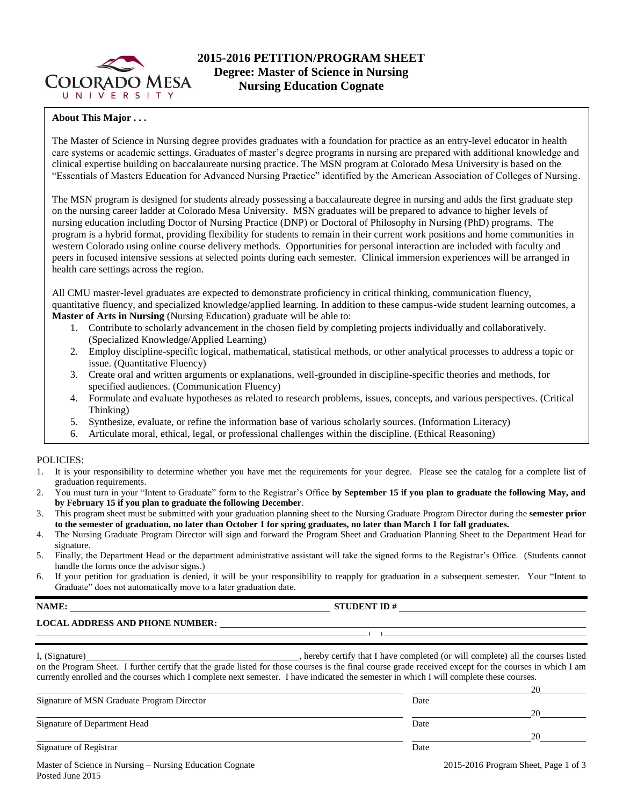

## **About This Major . . .**

The Master of Science in Nursing degree provides graduates with a foundation for practice as an entry-level educator in health care systems or academic settings. Graduates of master's degree programs in nursing are prepared with additional knowledge and clinical expertise building on baccalaureate nursing practice. The MSN program at Colorado Mesa University is based on the "Essentials of Masters Education for Advanced Nursing Practice" identified by the American Association of Colleges of Nursing.

The MSN program is designed for students already possessing a baccalaureate degree in nursing and adds the first graduate step on the nursing career ladder at Colorado Mesa University. MSN graduates will be prepared to advance to higher levels of nursing education including Doctor of Nursing Practice (DNP) or Doctoral of Philosophy in Nursing (PhD) programs. The program is a hybrid format, providing flexibility for students to remain in their current work positions and home communities in western Colorado using online course delivery methods. Opportunities for personal interaction are included with faculty and peers in focused intensive sessions at selected points during each semester. Clinical immersion experiences will be arranged in health care settings across the region.

All CMU master-level graduates are expected to demonstrate proficiency in critical thinking, communication fluency, quantitative fluency, and specialized knowledge/applied learning. In addition to these campus-wide student learning outcomes, a **Master of Arts in Nursing** (Nursing Education) graduate will be able to:

- 1. Contribute to scholarly advancement in the chosen field by completing projects individually and collaboratively. (Specialized Knowledge/Applied Learning)
- 2. Employ discipline-specific logical, mathematical, statistical methods, or other analytical processes to address a topic or issue. (Quantitative Fluency)
- 3. Create oral and written arguments or explanations, well-grounded in discipline-specific theories and methods, for specified audiences. (Communication Fluency)
- 4. Formulate and evaluate hypotheses as related to research problems, issues, concepts, and various perspectives. (Critical Thinking)
- 5. Synthesize, evaluate, or refine the information base of various scholarly sources. (Information Literacy)
- 6. Articulate moral, ethical, legal, or professional challenges within the discipline. (Ethical Reasoning)

### POLICIES:

- 1. It is your responsibility to determine whether you have met the requirements for your degree. Please see the catalog for a complete list of graduation requirements.
- 2. You must turn in your "Intent to Graduate" form to the Registrar's Office **by September 15 if you plan to graduate the following May, and by February 15 if you plan to graduate the following December**.
- 3. This program sheet must be submitted with your graduation planning sheet to the Nursing Graduate Program Director during the **semester prior to the semester of graduation, no later than October 1 for spring graduates, no later than March 1 for fall graduates.**
- 4. The Nursing Graduate Program Director will sign and forward the Program Sheet and Graduation Planning Sheet to the Department Head for signature.
- 5. Finally, the Department Head or the department administrative assistant will take the signed forms to the Registrar's Office. (Students cannot handle the forms once the advisor signs.)
- 6. If your petition for graduation is denied, it will be your responsibility to reapply for graduation in a subsequent semester. Your "Intent to Graduate" does not automatically move to a later graduation date.

### **NAME: STUDENT ID #**

## **LOCAL ADDRESS AND PHONE NUMBER:**

| I, (Signature) | , hereby certify that I have completed (or will complete) all the courses listed                                                                        |
|----------------|---------------------------------------------------------------------------------------------------------------------------------------------------------|
|                | on the Program Sheet. I further certify that the grade listed for those courses is the final course grade received except for the courses in which I am |
|                | currently enrolled and the courses which I complete next semester. I have indicated the semester in which I will complete these courses.                |

**( )** 

Signature of MSN Graduate Program Director Date

Signature of Department Head Date

Signature of Registrar Date

Master of Science in Nursing – Nursing Education Cognate 2015-2016 Program Sheet, Page 1 of 3 Posted June 2015

<u>20</u>

<u>20</u>

20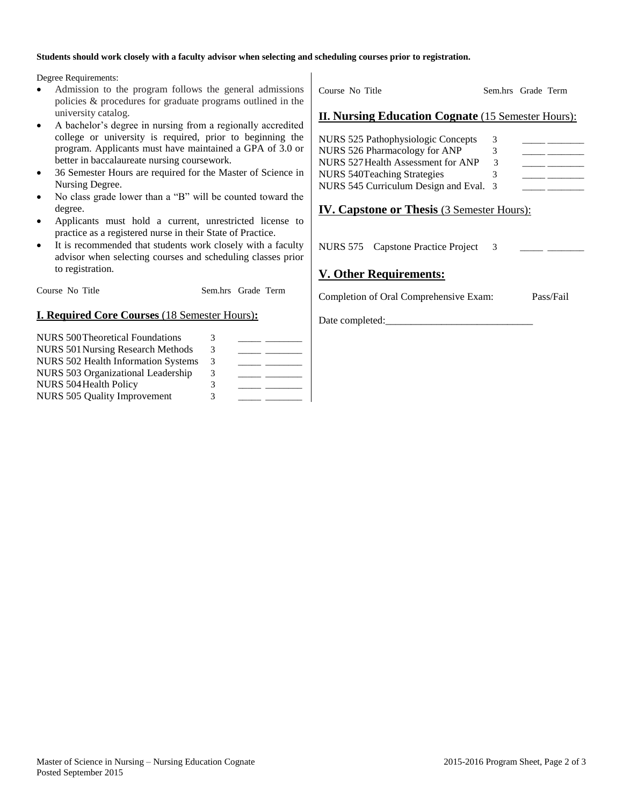#### **Students should work closely with a faculty advisor when selecting and scheduling courses prior to registration.**

Degree Requirements:

- Admission to the program follows the general admissions policies & procedures for graduate programs outlined in the university catalog.
- A bachelor's degree in nursing from a regionally accredited college or university is required, prior to beginning the program. Applicants must have maintained a GPA of 3.0 or better in baccalaureate nursing coursework.
- 36 Semester Hours are required for the Master of Science in Nursing Degree.
- No class grade lower than a "B" will be counted toward the degree.
- Applicants must hold a current, unrestricted license to practice as a registered nurse in their State of Practice.
- It is recommended that students work closely with a faculty advisor when selecting courses and scheduling classes prior to registration.

Course No Title Sem.hrs Grade Term

# **I. Required Core Courses** (18 Semester Hours)**:**

| NURS 500 Theoretical Foundations         | 3 |  |
|------------------------------------------|---|--|
| <b>NURS 501 Nursing Research Methods</b> | 3 |  |
| NURS 502 Health Information Systems      | 3 |  |
| NURS 503 Organizational Leadership       | 3 |  |
| NURS 504 Health Policy                   | 3 |  |
| NURS 505 Quality Improvement             | 3 |  |

Course No Title Sem.hrs Grade Term

## **II. Nursing Education Cognate** (15 Semester Hours):

| NURS 525 Pathophysiologic Concepts     | 3 |  |
|----------------------------------------|---|--|
| NURS 526 Pharmacology for ANP          | 3 |  |
| NURS 527 Health Assessment for ANP     | 3 |  |
| NURS 540 Teaching Strategies           |   |  |
| NURS 545 Curriculum Design and Eval. 3 |   |  |

# **IV. Capstone or Thesis** (3 Semester Hours):

NURS 575 Capstone Practice Project 3

# **V. Other Requirements:**

Completion of Oral Comprehensive Exam: Pass/Fail

Date completed: